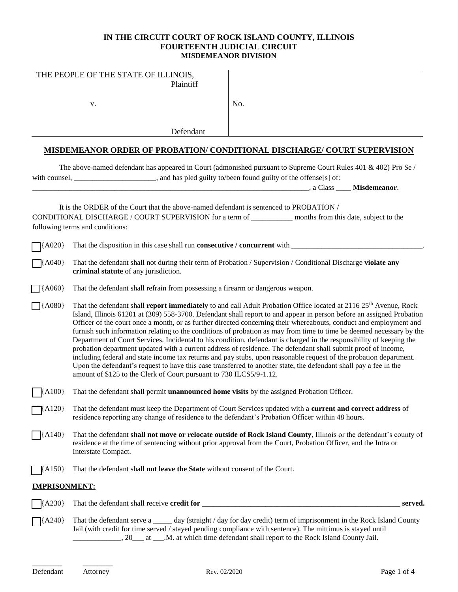# **IN THE CIRCUIT COURT OF ROCK ISLAND COUNTY, ILLINOIS FOURTEENTH JUDICIAL CIRCUIT MISDEMEANOR DIVISION**

|                              | THE PEOPLE OF THE STATE OF ILLINOIS,<br>Plaintiff                                                                                                                                                                                                                                                                                                                                                                                                                                                                                                                                                                                                                                                                                                                                                                                                                                                                                                                                                                                                                     |                                                                                                                                        |  |
|------------------------------|-----------------------------------------------------------------------------------------------------------------------------------------------------------------------------------------------------------------------------------------------------------------------------------------------------------------------------------------------------------------------------------------------------------------------------------------------------------------------------------------------------------------------------------------------------------------------------------------------------------------------------------------------------------------------------------------------------------------------------------------------------------------------------------------------------------------------------------------------------------------------------------------------------------------------------------------------------------------------------------------------------------------------------------------------------------------------|----------------------------------------------------------------------------------------------------------------------------------------|--|
|                              | v.                                                                                                                                                                                                                                                                                                                                                                                                                                                                                                                                                                                                                                                                                                                                                                                                                                                                                                                                                                                                                                                                    | No.                                                                                                                                    |  |
|                              | Defendant                                                                                                                                                                                                                                                                                                                                                                                                                                                                                                                                                                                                                                                                                                                                                                                                                                                                                                                                                                                                                                                             |                                                                                                                                        |  |
|                              |                                                                                                                                                                                                                                                                                                                                                                                                                                                                                                                                                                                                                                                                                                                                                                                                                                                                                                                                                                                                                                                                       | <b>MISDEMEANOR ORDER OF PROBATION/ CONDITIONAL DISCHARGE/ COURT SUPERVISION</b>                                                        |  |
|                              | with counsel, ______________________, and has pled guilty to/been found guilty of the offense[s] of:                                                                                                                                                                                                                                                                                                                                                                                                                                                                                                                                                                                                                                                                                                                                                                                                                                                                                                                                                                  | The above-named defendant has appeared in Court (admonished pursuant to Supreme Court Rules 401 & 402) Pro Se /<br>Allass Misdemeanor. |  |
|                              | It is the ORDER of the Court that the above-named defendant is sentenced to PROBATION /<br>following terms and conditions:                                                                                                                                                                                                                                                                                                                                                                                                                                                                                                                                                                                                                                                                                                                                                                                                                                                                                                                                            | CONDITIONAL DISCHARGE / COURT SUPERVISION for a term of ___________ months from this date, subject to the                              |  |
| $\mathsf{R}^{(A020)}$        |                                                                                                                                                                                                                                                                                                                                                                                                                                                                                                                                                                                                                                                                                                                                                                                                                                                                                                                                                                                                                                                                       |                                                                                                                                        |  |
| $\left[ \text{A}040 \right]$ | That the defendant shall not during their term of Probation / Supervision / Conditional Discharge violate any<br>criminal statute of any jurisdiction.                                                                                                                                                                                                                                                                                                                                                                                                                                                                                                                                                                                                                                                                                                                                                                                                                                                                                                                |                                                                                                                                        |  |
| $\bigcap$ {A060}             | That the defendant shall refrain from possessing a firearm or dangerous weapon.                                                                                                                                                                                                                                                                                                                                                                                                                                                                                                                                                                                                                                                                                                                                                                                                                                                                                                                                                                                       |                                                                                                                                        |  |
| $\Box$ {A080}                | That the defendant shall <b>report immediately</b> to and call Adult Probation Office located at 2116 25 <sup>th</sup> Avenue, Rock<br>Island, Illinois 61201 at (309) 558-3700. Defendant shall report to and appear in person before an assigned Probation<br>Officer of the court once a month, or as further directed concerning their whereabouts, conduct and employment and<br>furnish such information relating to the conditions of probation as may from time to time be deemed necessary by the<br>Department of Court Services. Incidental to his condition, defendant is charged in the responsibility of keeping the<br>probation department updated with a current address of residence. The defendant shall submit proof of income,<br>including federal and state income tax returns and pay stubs, upon reasonable request of the probation department.<br>Upon the defendant's request to have this case transferred to another state, the defendant shall pay a fee in the<br>amount of \$125 to the Clerk of Court pursuant to 730 ILCS5/9-1.12. |                                                                                                                                        |  |
| A100                         | That the defendant shall permit <b>unannounced home visits</b> by the assigned Probation Officer.                                                                                                                                                                                                                                                                                                                                                                                                                                                                                                                                                                                                                                                                                                                                                                                                                                                                                                                                                                     |                                                                                                                                        |  |
| $\vert$ A120}                | That the defendant must keep the Department of Court Services updated with a current and correct address of<br>residence reporting any change of residence to the defendant's Probation Officer within 48 hours.                                                                                                                                                                                                                                                                                                                                                                                                                                                                                                                                                                                                                                                                                                                                                                                                                                                      |                                                                                                                                        |  |
| $\left[$ {A140}              | That the defendant shall not move or relocate outside of Rock Island County, Illinois or the defendant's county of<br>residence at the time of sentencing without prior approval from the Court, Probation Officer, and the Intra or<br>Interstate Compact.                                                                                                                                                                                                                                                                                                                                                                                                                                                                                                                                                                                                                                                                                                                                                                                                           |                                                                                                                                        |  |
| $\{A150\}$                   | That the defendant shall not leave the State without consent of the Court.                                                                                                                                                                                                                                                                                                                                                                                                                                                                                                                                                                                                                                                                                                                                                                                                                                                                                                                                                                                            |                                                                                                                                        |  |
| <b>IMPRISONMENT:</b>         |                                                                                                                                                                                                                                                                                                                                                                                                                                                                                                                                                                                                                                                                                                                                                                                                                                                                                                                                                                                                                                                                       |                                                                                                                                        |  |
| ${A230}$                     |                                                                                                                                                                                                                                                                                                                                                                                                                                                                                                                                                                                                                                                                                                                                                                                                                                                                                                                                                                                                                                                                       | served.                                                                                                                                |  |
| $\left[$ {A240}              | That the defendant serve a _____ day (straight / day for day credit) term of imprisonment in the Rock Island County<br>Jail (with credit for time served / stayed pending compliance with sentence). The mittimus is stayed until                                                                                                                                                                                                                                                                                                                                                                                                                                                                                                                                                                                                                                                                                                                                                                                                                                     |                                                                                                                                        |  |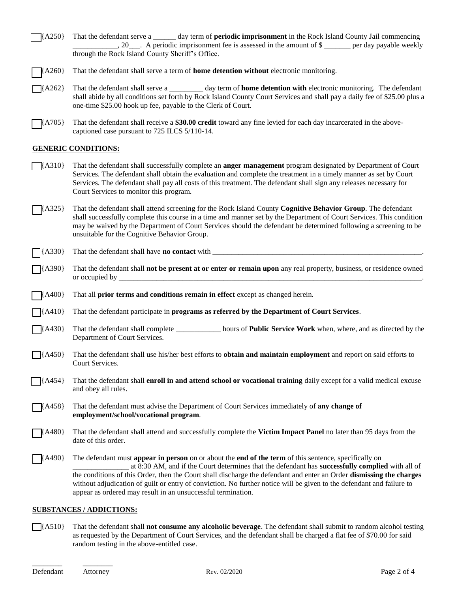| $\left[ \right\{ A250 \right\}$ That the defendant serve a | _ day term of <b>periodic imprisonment</b> in the Rock Island County Jail commencing |                        |
|------------------------------------------------------------|--------------------------------------------------------------------------------------|------------------------|
|                                                            | $, 20$ . A periodic imprisonment fee is assessed in the amount of \$                 | per day payable weekly |
| through the Rock Island County Sheriff's Office.           |                                                                                      |                        |

- [ ] {A260} That the defendant shall serve a term of **home detention without** electronic monitoring.
- [ ] {A262} That the defendant shall serve a \_\_\_\_\_\_\_\_\_ day term of **home detention with** electronic monitoring. The defendant shall abide by all conditions set forth by Rock Island County Court Services and shall pay a daily fee of \$25.00 plus a one-time \$25.00 hook up fee, payable to the Clerk of Court.
- [A705] That the defendant shall receive a \$30.00 credit toward any fine levied for each day incarcerated in the abovecaptioned case pursuant to 725 ILCS 5/110-14.

### **GENERIC CONDITIONS:**

- [ ] {A310} That the defendant shall successfully complete an **anger management** program designated by Department of Court Services. The defendant shall obtain the evaluation and complete the treatment in a timely manner as set by Court Services. The defendant shall pay all costs of this treatment. The defendant shall sign any releases necessary for Court Services to monitor this program.
- [A325] That the defendant shall attend screening for the Rock Island County **Cognitive Behavior Group**. The defendant shall successfully complete this course in a time and manner set by the Department of Court Services. This condition may be waived by the Department of Court Services should the defendant be determined following a screening to be unsuitable for the Cognitive Behavior Group.
- [ ] {A330} That the defendant shall have **no contact** with \_\_\_\_\_\_\_\_\_\_\_\_\_\_\_\_\_\_\_\_\_\_\_\_\_\_\_\_\_\_\_\_\_\_\_\_\_\_\_\_\_\_\_\_\_\_\_\_\_\_\_\_\_\_\_\_.
- [ ] {A390} That the defendant shall **not be present at or enter or remain upon** any real property, business, or residence owned or occupied by
- [ ] {A400} That all **prior terms and conditions remain in effect** except as changed herein.
- [ ] {A410} That the defendant participate in **programs as referred by the Department of Court Services**.
- [ ] {A430} That the defendant shall complete \_\_\_\_\_\_\_\_\_\_\_\_ hours of **Public Service Work** when, where, and as directed by the Department of Court Services.
- [ ] {A450} That the defendant shall use his/her best efforts to **obtain and maintain employment** and report on said efforts to Court Services.
- [ ] {A454} That the defendant shall **enroll in and attend school or vocational training** daily except for a valid medical excuse and obey all rules.
- [ ] {A458} That the defendant must advise the Department of Court Services immediately of **any change of employment/school/vocational program**.
- [ ] {A480} That the defendant shall attend and successfully complete the **Victim Impact Panel** no later than 95 days from the date of this order.
	- [ ] {A490} The defendant must **appear in person** on or about the **end of the term** of this sentence, specifically on \_\_\_\_\_\_\_\_\_\_\_\_\_\_\_ at 8:30 AM, and if the Court determines that the defendant has **successfully complied** with all of the conditions of this Order, then the Court shall discharge the defendant and enter an Order **dismissing the charges** without adjudication of guilt or entry of conviction. No further notice will be given to the defendant and failure to appear as ordered may result in an unsuccessful termination.

### **SUBSTANCES / ADDICTIONS:**

[ ] {A510} That the defendant shall **not consume any alcoholic beverage**. The defendant shall submit to random alcohol testing as requested by the Department of Court Services, and the defendant shall be charged a flat fee of \$70.00 for said random testing in the above-entitled case.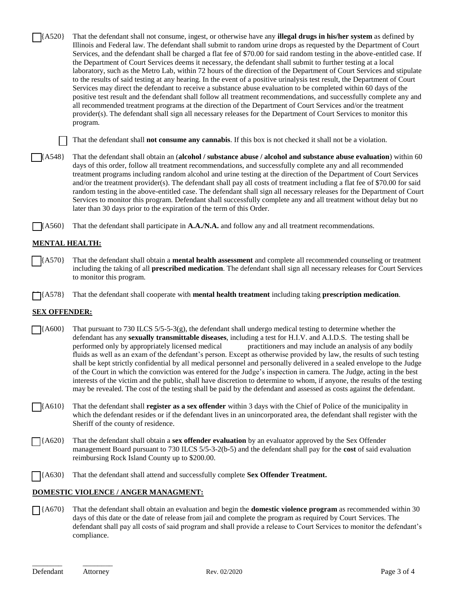$\{A520\}$  That the defendant shall not consume, ingest, or otherwise have any **illegal drugs in his/her system** as defined by Illinois and Federal law. The defendant shall submit to random urine drops as requested by the Department of Court Services, and the defendant shall be charged a flat fee of \$70.00 for said random testing in the above-entitled case. If the Department of Court Services deems it necessary, the defendant shall submit to further testing at a local laboratory, such as the Metro Lab, within 72 hours of the direction of the Department of Court Services and stipulate to the results of said testing at any hearing. In the event of a positive urinalysis test result, the Department of Court Services may direct the defendant to receive a substance abuse evaluation to be completed within 60 days of the positive test result and the defendant shall follow all treatment recommendations, and successfully complete any and all recommended treatment programs at the direction of the Department of Court Services and/or the treatment provider(s). The defendant shall sign all necessary releases for the Department of Court Services to monitor this program.

[ ] That the defendant shall **not consume any cannabis**. If this box is not checked it shall not be a violation.

[ ] {A548} That the defendant shall obtain an (**alcohol / substance abuse / alcohol and substance abuse evaluation**) within 60 days of this order, follow all treatment recommendations, and successfully complete any and all recommended treatment programs including random alcohol and urine testing at the direction of the Department of Court Services and/or the treatment provider(s). The defendant shall pay all costs of treatment including a flat fee of \$70.00 for said random testing in the above-entitled case. The defendant shall sign all necessary releases for the Department of Court Services to monitor this program. Defendant shall successfully complete any and all treatment without delay but no later than 30 days prior to the expiration of the term of this Order.

[A560] That the defendant shall participate in **A.A./N.A.** and follow any and all treatment recommendations.

# **MENTAL HEALTH:**

[ ] {A570} That the defendant shall obtain a **mental health assessment** and complete all recommended counseling or treatment including the taking of all **prescribed medication**. The defendant shall sign all necessary releases for Court Services to monitor this program.

[ ] {A578} That the defendant shall cooperate with **mental health treatment** including taking **prescription medication**.

## **SEX OFFENDER:**

- $[$  {A600} That pursuant to 730 ILCS 5/5-5-3(g), the defendant shall undergo medical testing to determine whether the defendant has any **sexually transmittable diseases**, including a test for H.I.V. and A.I.D.S. The testing shall be performed only by appropriately licensed medical practitioners and may include an analysis of any bodily fluids as well as an exam of the defendant's person. Except as otherwise provided by law, the results of such testing shall be kept strictly confidential by all medical personnel and personally delivered in a sealed envelope to the Judge of the Court in which the conviction was entered for the Judge's inspection in camera. The Judge, acting in the best interests of the victim and the public, shall have discretion to determine to whom, if anyone, the results of the testing may be revealed. The cost of the testing shall be paid by the defendant and assessed as costs against the defendant.
- [ ] {A610} That the defendant shall **register as a sex offender** within 3 days with the Chief of Police of the municipality in which the defendant resides or if the defendant lives in an unincorporated area, the defendant shall register with the Sheriff of the county of residence.
- [ ] {A620} That the defendant shall obtain a **sex offender evaluation** by an evaluator approved by the Sex Offender management Board pursuant to 730 ILCS 5/5-3-2(b-5) and the defendant shall pay for the **cost** of said evaluation reimbursing Rock Island County up to \$200.00.
- [ ] {A630} That the defendant shall attend and successfully complete **Sex Offender Treatment.**

#### **DOMESTIC VIOLENCE / ANGER MANAGMENT:**

[ ] {A670} That the defendant shall obtain an evaluation and begin the **domestic violence program** as recommended within 30 days of this date or the date of release from jail and complete the program as required by Court Services. The defendant shall pay all costs of said program and shall provide a release to Court Services to monitor the defendant's compliance.